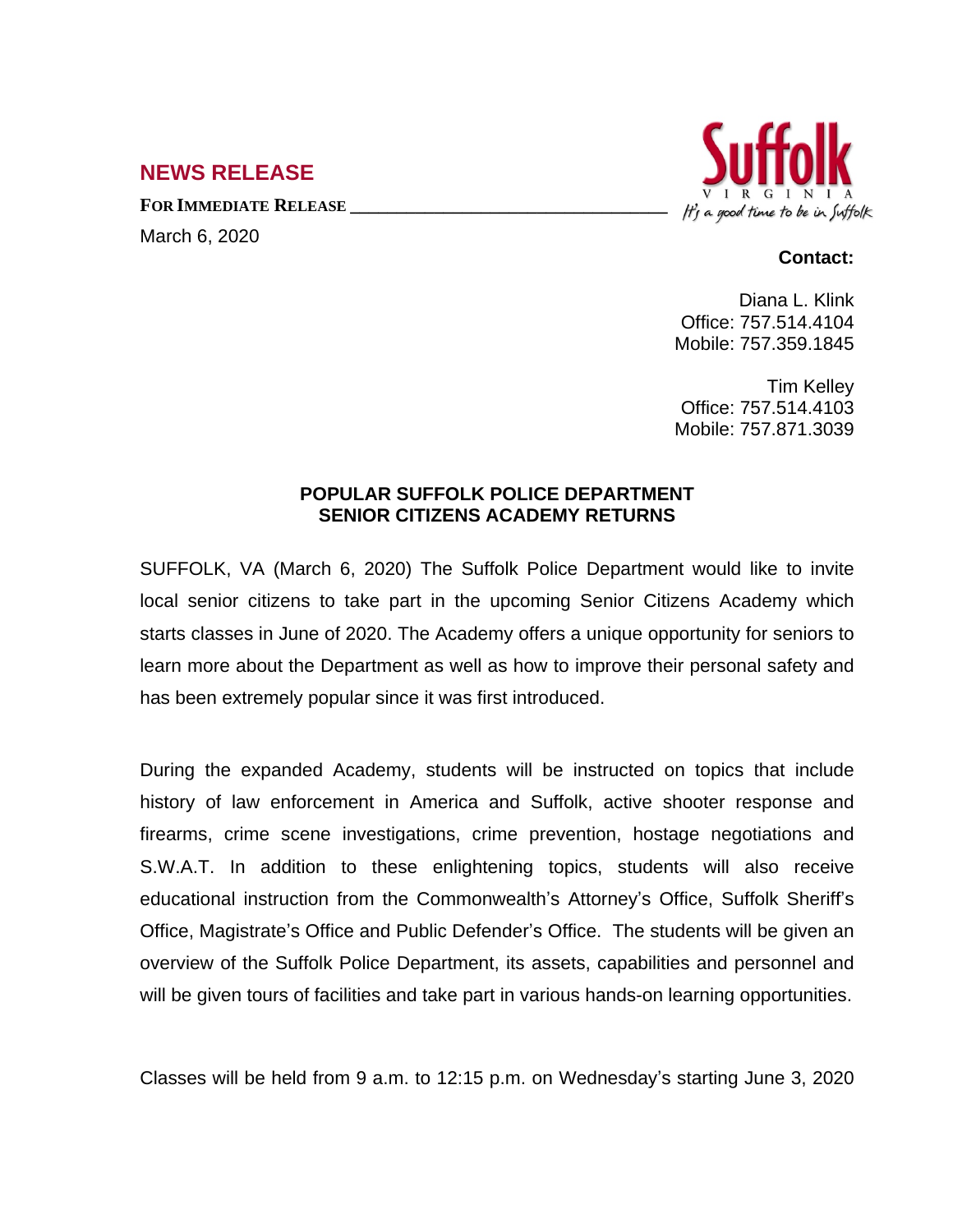## **NEWS RELEASE**

**FOR IMMEDIATE RELEASE \_\_\_\_\_\_\_\_\_\_\_\_\_\_\_\_\_\_\_\_\_\_\_\_\_\_\_\_\_\_\_\_\_\_**

March 6, 2020



## **Contact:**

Diana L. Klink Office: 757.514.4104 Mobile: 757.359.1845

Tim Kelley Office: 757.514.4103 Mobile: 757.871.3039

## **POPULAR SUFFOLK POLICE DEPARTMENT SENIOR CITIZENS ACADEMY RETURNS**

SUFFOLK, VA (March 6, 2020) The Suffolk Police Department would like to invite local senior citizens to take part in the upcoming Senior Citizens Academy which starts classes in June of 2020. The Academy offers a unique opportunity for seniors to learn more about the Department as well as how to improve their personal safety and has been extremely popular since it was first introduced.

During the expanded Academy, students will be instructed on topics that include history of law enforcement in America and Suffolk, active shooter response and firearms, crime scene investigations, crime prevention, hostage negotiations and S.W.A.T. In addition to these enlightening topics, students will also receive educational instruction from the Commonwealth's Attorney's Office, Suffolk Sheriff's Office, Magistrate's Office and Public Defender's Office. The students will be given an overview of the Suffolk Police Department, its assets, capabilities and personnel and will be given tours of facilities and take part in various hands-on learning opportunities.

Classes will be held from 9 a.m. to 12:15 p.m. on Wednesday's starting June 3, 2020